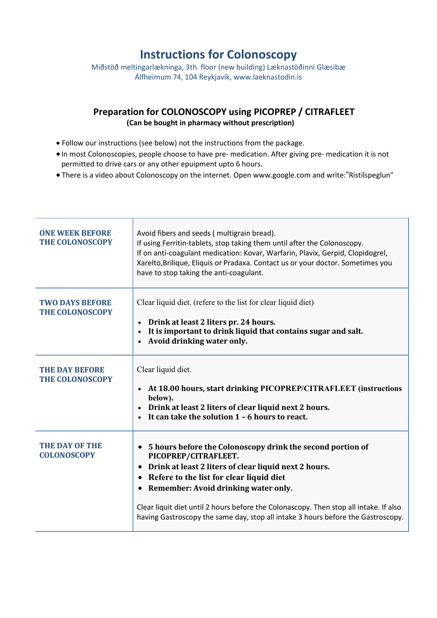# Instructions for Colonoscopy

Miðstöð meltingarlækninga, 3th. floor (new building) Læknastöðinni Glæsibæ Álfheimum 74, 104 Reykjavík, www.laeknastodin.is

# Preparation for COLONOSCOPY using PICOPREP / CITRAFLEET (Can be bought in pharmacy without prescription)

- Follow our instructions (see below) not the instructions from the package.
- In most Colonoscopies, people choose to have pre- medication. After giving pre- medication it is not permitted to drive cars or any other epuipment upto 6 hours.
- There is a video about Colonoscopy on the internet. Open www.google.com and write:"Ristilspeglun"

| <b>ONE WEEK BEFORE</b><br><b>THE COLONOSCOPY</b> | Avoid fibers and seeds (multigrain bread).<br>If using Ferritin-tablets, stop taking them until after the Colonoscopy.<br>If on anti-coagulant medication: Kovar, Warfarin, Plavix, Gerpid, Clopidogrel,<br>Xarelto, Brilique, Eliquis or Pradaxa. Contact us or your doctor. Sometimes you<br>have to stop taking the anti-coagulant.                                                                       |
|--------------------------------------------------|--------------------------------------------------------------------------------------------------------------------------------------------------------------------------------------------------------------------------------------------------------------------------------------------------------------------------------------------------------------------------------------------------------------|
| <b>TWO DAYS BEFORE</b><br><b>THE COLONOSCOPY</b> | Clear liquid diet. (refere to the list for clear liquid diet)<br>• Drink at least 2 liters pr. 24 hours.<br>It is important to drink liquid that contains sugar and salt.<br>Avoid drinking water only.                                                                                                                                                                                                      |
| <b>THE DAY BEFORE</b><br><b>THE COLONOSCOPY</b>  | Clear liquid diet.<br>• At 18.00 hours, start drinking PICOPREP/CITRAFLEET (instructions<br>below).<br>Drink at least 2 liters of clear liquid next 2 hours.<br>It can take the solution $1 - 6$ hours to react.                                                                                                                                                                                             |
| <b>THE DAY OF THE</b><br><b>COLONOSCOPY</b>      | 5 hours before the Colonoscopy drink the second portion of<br>PICOPREP/CITRAFLEET.<br>Drink at least 2 liters of clear liquid next 2 hours.<br>Refere to the list for clear liquid diet<br>Remember: Avoid drinking water only.<br>Clear liquit diet until 2 hours before the Colonascopy. Then stop all intake. If also<br>having Gastroscopy the same day, stop all intake 3 hours before the Gastroscopy. |